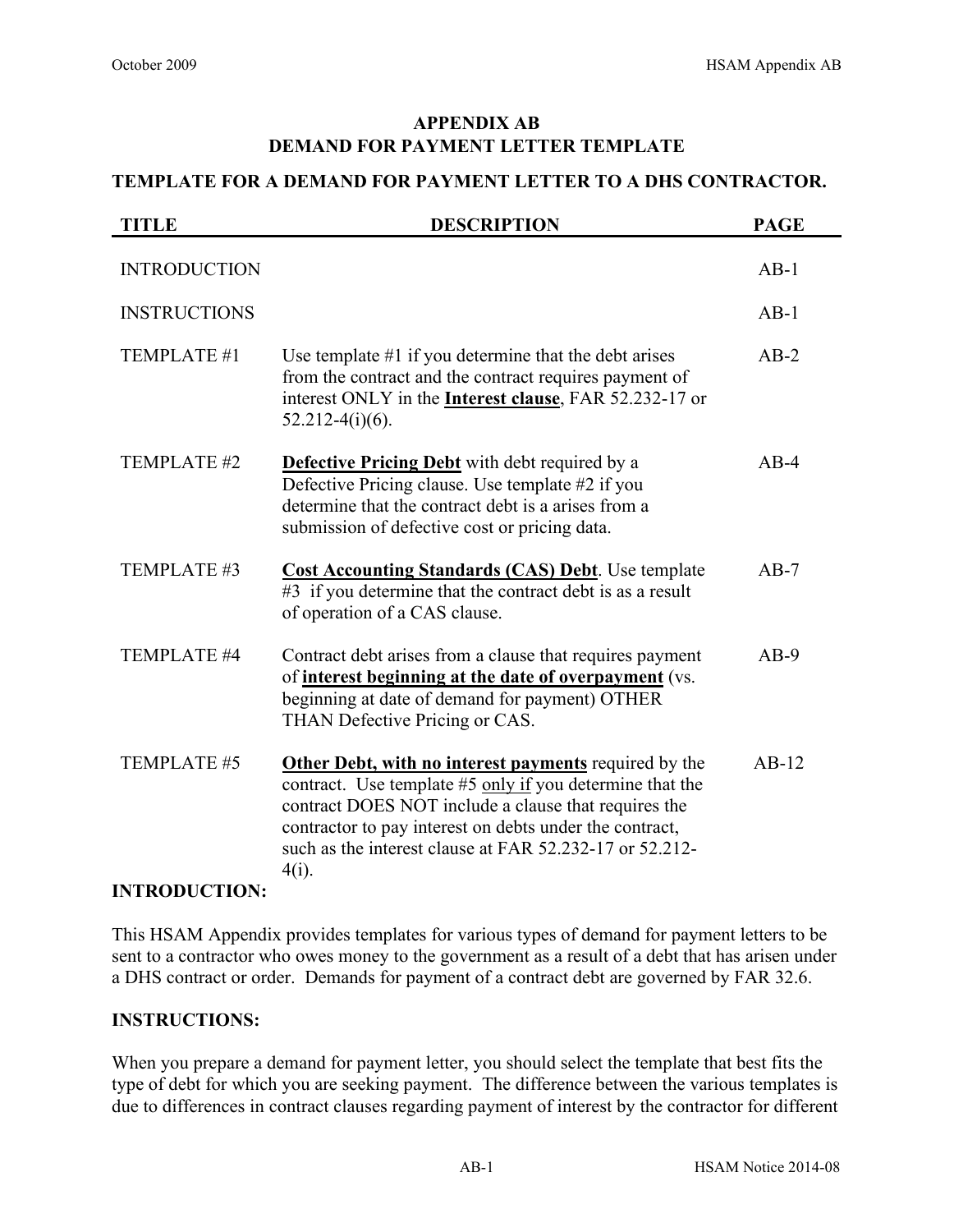# **APPENDIX AB DEMAND FOR PAYMENT LETTER TEMPLATE**

### **TEMPLATE FOR A DEMAND FOR PAYMENT LETTER TO A DHS CONTRACTOR.**

| <b>TITLE</b>         | <b>DESCRIPTION</b>                                                                                                                                                                                                                                                                                          | <b>PAGE</b> |
|----------------------|-------------------------------------------------------------------------------------------------------------------------------------------------------------------------------------------------------------------------------------------------------------------------------------------------------------|-------------|
| <b>INTRODUCTION</b>  |                                                                                                                                                                                                                                                                                                             | $AB-1$      |
| <b>INSTRUCTIONS</b>  |                                                                                                                                                                                                                                                                                                             | $AB-1$      |
| TEMPLATE #1          | Use template $#1$ if you determine that the debt arises<br>from the contract and the contract requires payment of<br>interest ONLY in the <b>Interest clause</b> , FAR 52.232-17 or<br>$52.212-4(i)(6)$ .                                                                                                   | $AB-2$      |
| TEMPLATE #2          | <b>Defective Pricing Debt</b> with debt required by a<br>Defective Pricing clause. Use template #2 if you<br>determine that the contract debt is a arises from a<br>submission of defective cost or pricing data.                                                                                           | $AB-4$      |
| TEMPLATE #3          | <b>Cost Accounting Standards (CAS) Debt.</b> Use template<br>#3 if you determine that the contract debt is as a result<br>of operation of a CAS clause.                                                                                                                                                     | $AB-7$      |
| TEMPLATE #4          | Contract debt arises from a clause that requires payment<br>of interest beginning at the date of overpayment (vs.<br>beginning at date of demand for payment) OTHER<br>THAN Defective Pricing or CAS.                                                                                                       | $AB-9$      |
| TEMPLATE #5          | Other Debt, with no interest payments required by the<br>contract. Use template #5 only if you determine that the<br>contract DOES NOT include a clause that requires the<br>contractor to pay interest on debts under the contract,<br>such as the interest clause at FAR 52.232-17 or 52.212-<br>$4(i)$ . | $AB-12$     |
| <b>INTRODUCTION:</b> |                                                                                                                                                                                                                                                                                                             |             |

### This HSAM Appendix provides templates for various types of demand for payment letters to be sent to a contractor who owes money to the government as a result of a debt that has arisen under a DHS contract or order. Demands for payment of a contract debt are governed by FAR 32.6.

### **INSTRUCTIONS:**

When you prepare a demand for payment letter, you should select the template that best fits the type of debt for which you are seeking payment. The difference between the various templates is due to differences in contract clauses regarding payment of interest by the contractor for different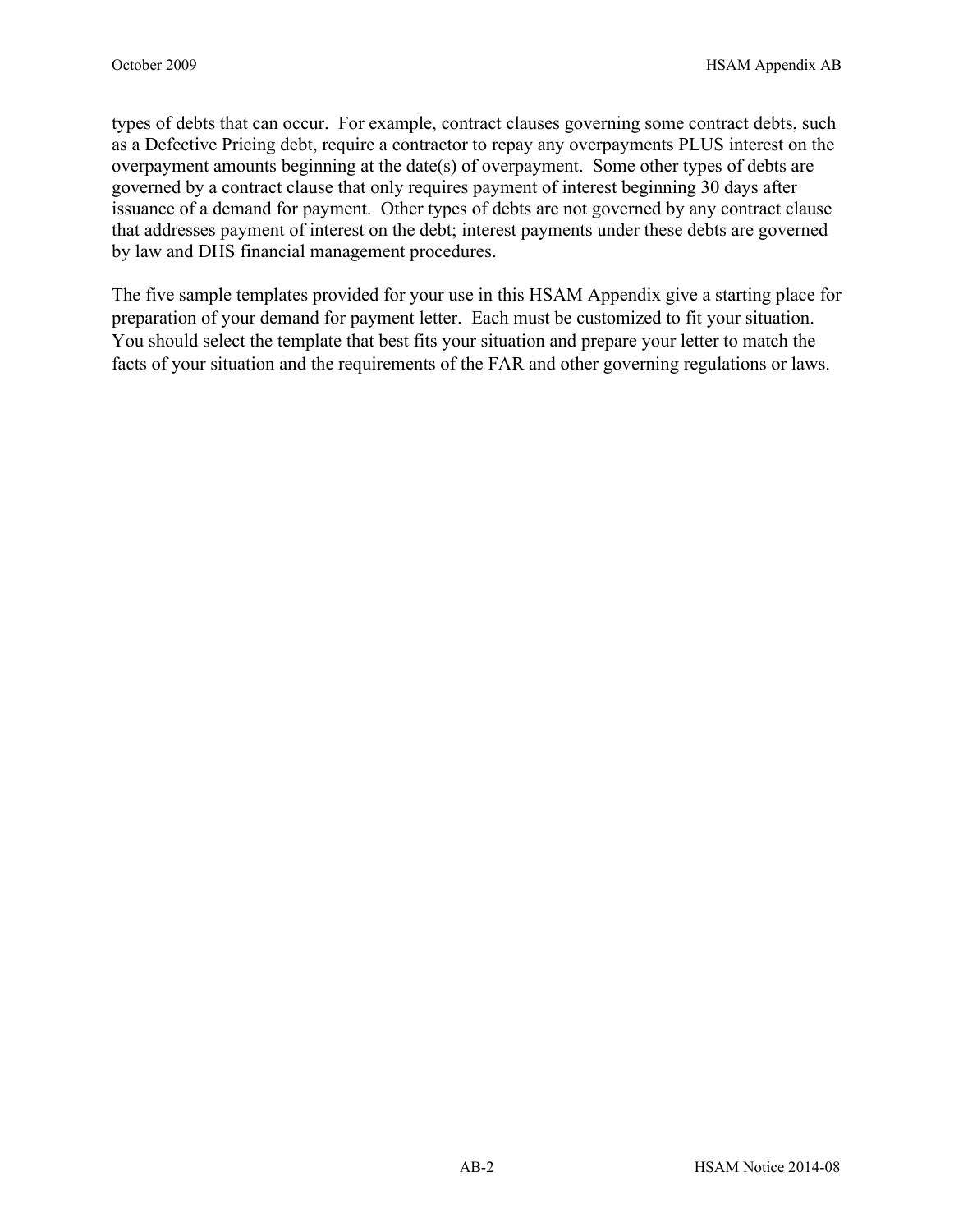types of debts that can occur. For example, contract clauses governing some contract debts, such as a Defective Pricing debt, require a contractor to repay any overpayments PLUS interest on the overpayment amounts beginning at the date(s) of overpayment. Some other types of debts are governed by a contract clause that only requires payment of interest beginning 30 days after issuance of a demand for payment. Other types of debts are not governed by any contract clause that addresses payment of interest on the debt; interest payments under these debts are governed by law and DHS financial management procedures.

The five sample templates provided for your use in this HSAM Appendix give a starting place for preparation of your demand for payment letter. Each must be customized to fit your situation. You should select the template that best fits your situation and prepare your letter to match the facts of your situation and the requirements of the FAR and other governing regulations or laws.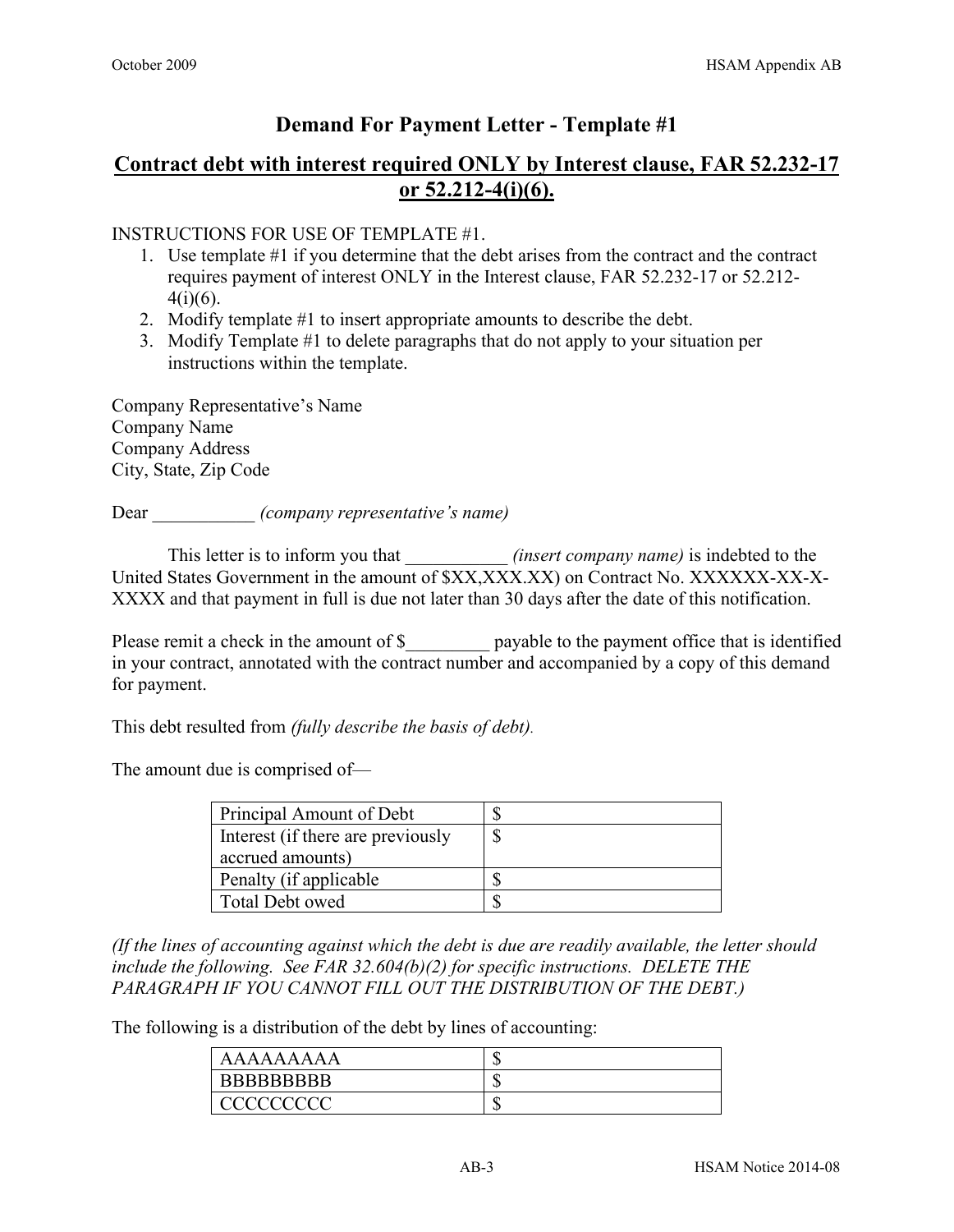# **Contract debt with interest required ONLY by Interest clause, FAR 52.232-17 or 52.212-4(i)(6).**

INSTRUCTIONS FOR USE OF TEMPLATE #1.

- 1. Use template #1 if you determine that the debt arises from the contract and the contract requires payment of interest ONLY in the Interest clause, FAR 52.232-17 or 52.212-  $4(i)(6)$ .
- 2. Modify template #1 to insert appropriate amounts to describe the debt.
- 3. Modify Template #1 to delete paragraphs that do not apply to your situation per instructions within the template.

Company Representative's Name Company Name Company Address City, State, Zip Code

Dear \_\_\_\_\_\_\_\_\_\_\_ *(company representative's name)*

This letter is to inform you that *(insert company name)* is indebted to the United States Government in the amount of \$XX,XXX.XX) on Contract No. XXXXXX-XX-X-XXXX and that payment in full is due not later than 30 days after the date of this notification.

Please remit a check in the amount of \$ payable to the payment office that is identified in your contract, annotated with the contract number and accompanied by a copy of this demand for payment.

This debt resulted from *(fully describe the basis of debt).*

The amount due is comprised of—

| Principal Amount of Debt          |  |
|-----------------------------------|--|
| Interest (if there are previously |  |
| accrued amounts)                  |  |
| Penalty (if applicable)           |  |
| <b>Total Debt owed</b>            |  |

*(If the lines of accounting against which the debt is due are readily available, the letter should include the following. See FAR 32.604(b)(2) for specific instructions. DELETE THE PARAGRAPH IF YOU CANNOT FILL OUT THE DISTRIBUTION OF THE DEBT.)*

The following is a distribution of the debt by lines of accounting:

| AAAAAAAAA          | ъD |
|--------------------|----|
| <b>BBBBBBBBBBB</b> | ъD |
| CCCCCCCCCC         | мD |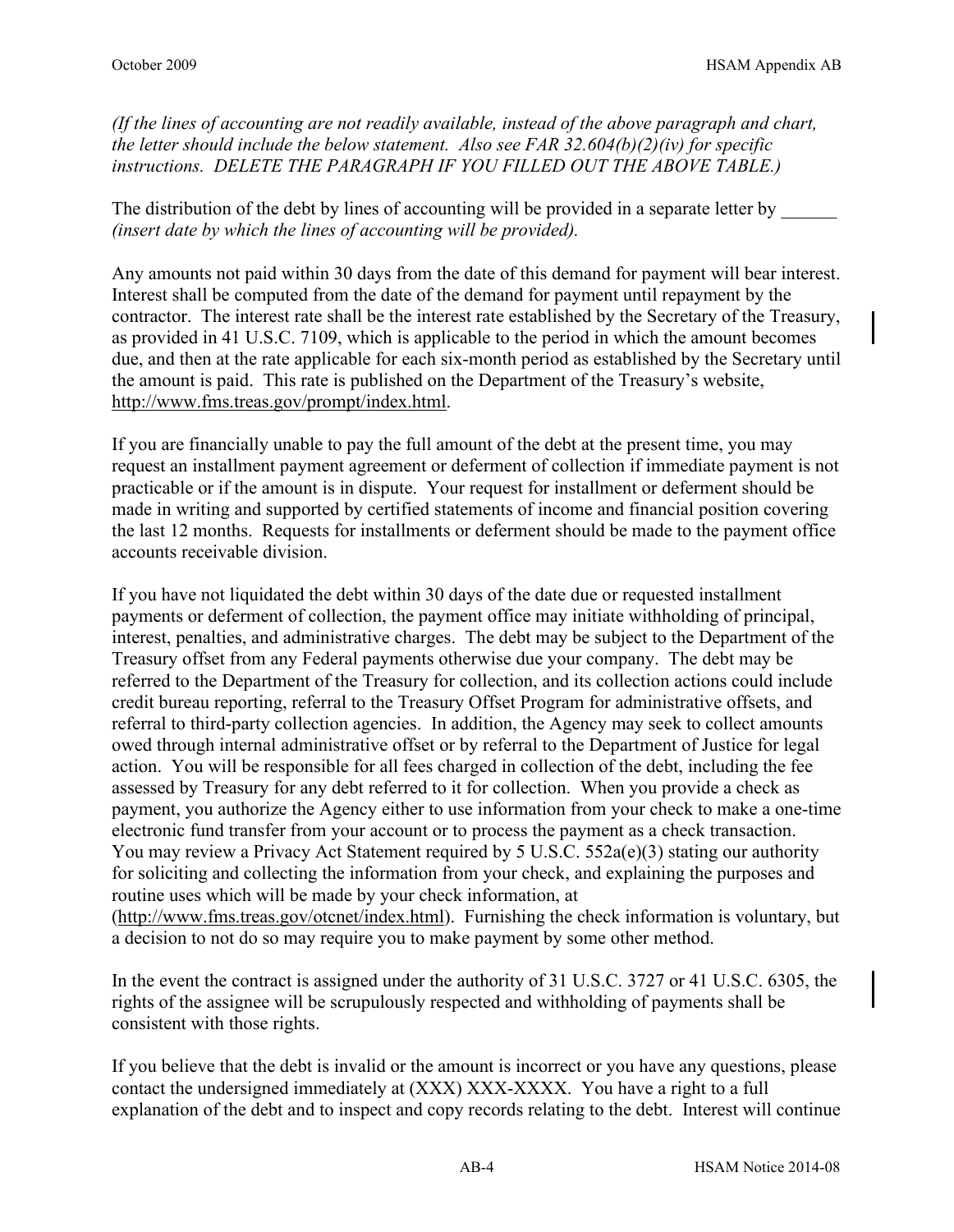*(If the lines of accounting are not readily available, instead of the above paragraph and chart, the letter should include the below statement. Also see FAR 32.604(b)(2)(iv) for specific instructions. DELETE THE PARAGRAPH IF YOU FILLED OUT THE ABOVE TABLE.)*

The distribution of the debt by lines of accounting will be provided in a separate letter by *(insert date by which the lines of accounting will be provided).*

Any amounts not paid within 30 days from the date of this demand for payment will bear interest. Interest shall be computed from the date of the demand for payment until repayment by the contractor. The interest rate shall be the interest rate established by the Secretary of the Treasury, as provided in 41 U.S.C. 7109, which is applicable to the period in which the amount becomes due, and then at the rate applicable for each six-month period as established by the Secretary until the amount is paid. This rate is published on the Department of the Treasury's website, [http://www.fms.treas.gov/prompt/index.html.](http://www.fms.treas.gov/prompt/index.html)

If you are financially unable to pay the full amount of the debt at the present time, you may request an installment payment agreement or deferment of collection if immediate payment is not practicable or if the amount is in dispute. Your request for installment or deferment should be made in writing and supported by certified statements of income and financial position covering the last 12 months. Requests for installments or deferment should be made to the payment office accounts receivable division.

If you have not liquidated the debt within 30 days of the date due or requested installment payments or deferment of collection, the payment office may initiate withholding of principal, interest, penalties, and administrative charges. The debt may be subject to the Department of the Treasury offset from any Federal payments otherwise due your company. The debt may be referred to the Department of the Treasury for collection, and its collection actions could include credit bureau reporting, referral to the Treasury Offset Program for administrative offsets, and referral to third-party collection agencies. In addition, the Agency may seek to collect amounts owed through internal administrative offset or by referral to the Department of Justice for legal action. You will be responsible for all fees charged in collection of the debt, including the fee assessed by Treasury for any debt referred to it for collection. When you provide a check as payment, you authorize the Agency either to use information from your check to make a one-time electronic fund transfer from your account or to process the payment as a check transaction. You may review a Privacy Act Statement required by 5 U.S.C. 552a(e)(3) stating our authority for soliciting and collecting the information from your check, and explaining the purposes and routine uses which will be made by your check information, at [\(http://www.fms.treas.gov/otcnet/index.html\)](http://www.fms.treas.gov/otcnet/index.html). Furnishing the check information is voluntary, but a decision to not do so may require you to make payment by some other method.

In the event the contract is assigned under the authority of 31 U.S.C. 3727 or 41 U.S.C. 6305, the rights of the assignee will be scrupulously respected and withholding of payments shall be consistent with those rights.

If you believe that the debt is invalid or the amount is incorrect or you have any questions, please contact the undersigned immediately at (XXX) XXX-XXXX. You have a right to a full explanation of the debt and to inspect and copy records relating to the debt. Interest will continue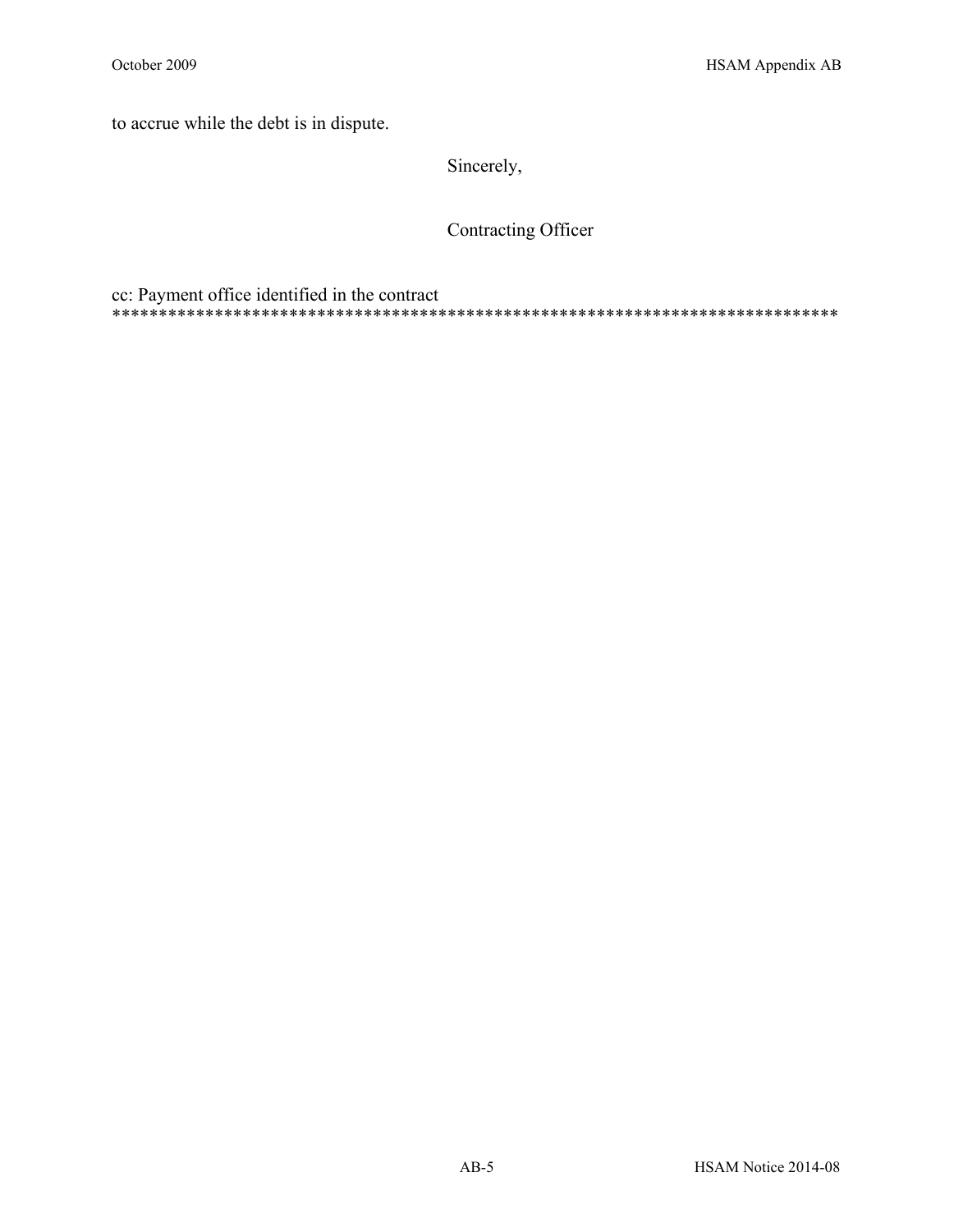to accrue while the debt is in dispute.

Sincerely,

Contracting Officer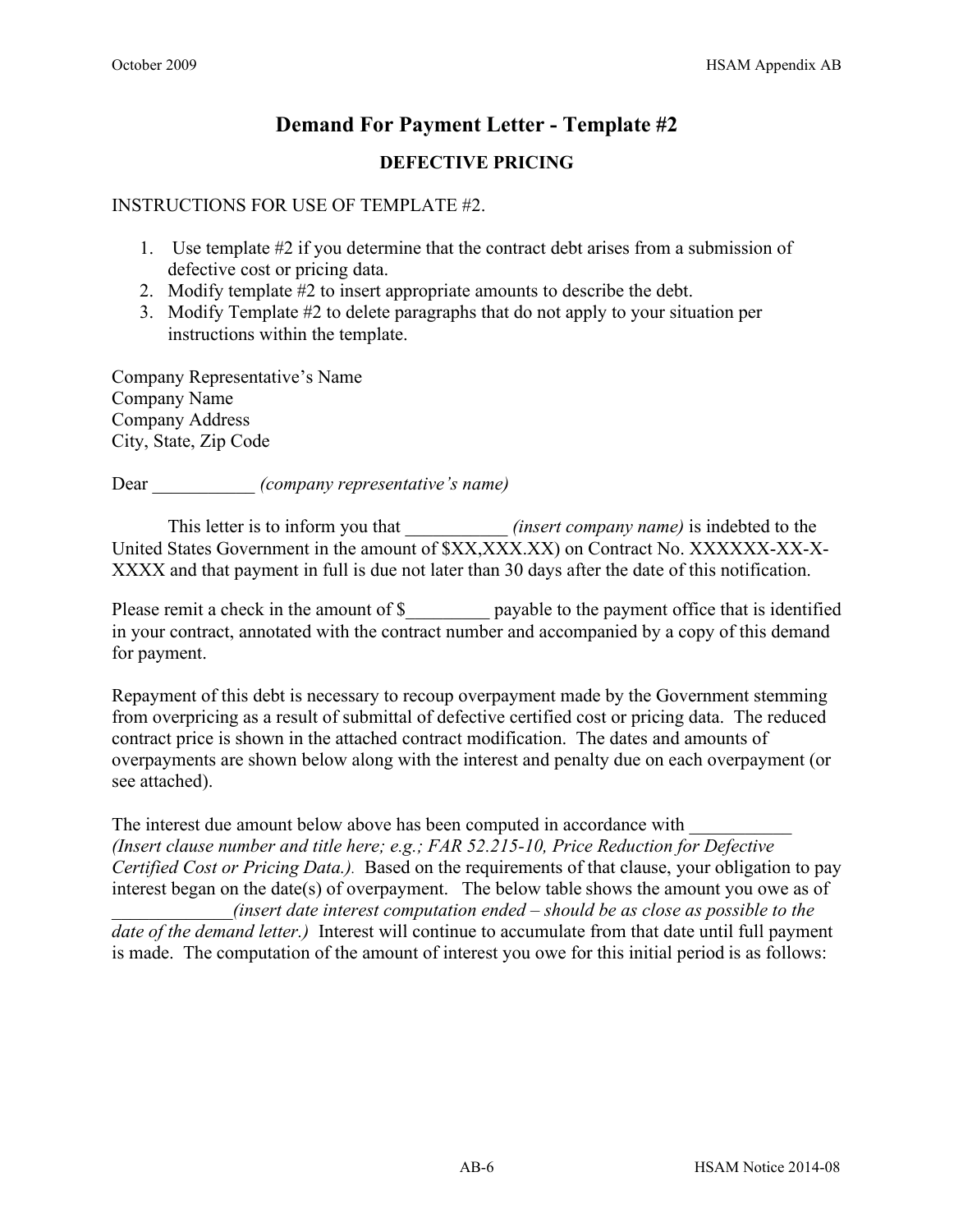# **Demand For Payment Letter - Template #2 DEFECTIVE PRICING**

#### INSTRUCTIONS FOR USE OF TEMPLATE #2.

- 1. Use template #2 if you determine that the contract debt arises from a submission of defective cost or pricing data.
- 2. Modify template #2 to insert appropriate amounts to describe the debt.
- 3. Modify Template #2 to delete paragraphs that do not apply to your situation per instructions within the template.

Company Representative's Name Company Name Company Address City, State, Zip Code

Dear \_\_\_\_\_\_\_\_\_\_\_ *(company representative's name)*

This letter is to inform you that *(insert company name)* is indebted to the United States Government in the amount of \$XX,XXX.XX) on Contract No. XXXXXX-XX-X-XXXX and that payment in full is due not later than 30 days after the date of this notification.

Please remit a check in the amount of \$ payable to the payment office that is identified in your contract, annotated with the contract number and accompanied by a copy of this demand for payment.

Repayment of this debt is necessary to recoup overpayment made by the Government stemming from overpricing as a result of submittal of defective certified cost or pricing data. The reduced contract price is shown in the attached contract modification. The dates and amounts of overpayments are shown below along with the interest and penalty due on each overpayment (or see attached).

The interest due amount below above has been computed in accordance with *(Insert clause number and title here; e.g.; FAR 52.215-10, Price Reduction for Defective Certified Cost or Pricing Data.).* Based on the requirements of that clause, your obligation to pay interest began on the date(s) of overpayment. The below table shows the amount you owe as of *\_\_\_\_\_\_\_\_\_\_\_\_\_(insert date interest computation ended – should be as close as possible to the date of the demand letter.)* Interest will continue to accumulate from that date until full payment is made. The computation of the amount of interest you owe for this initial period is as follows: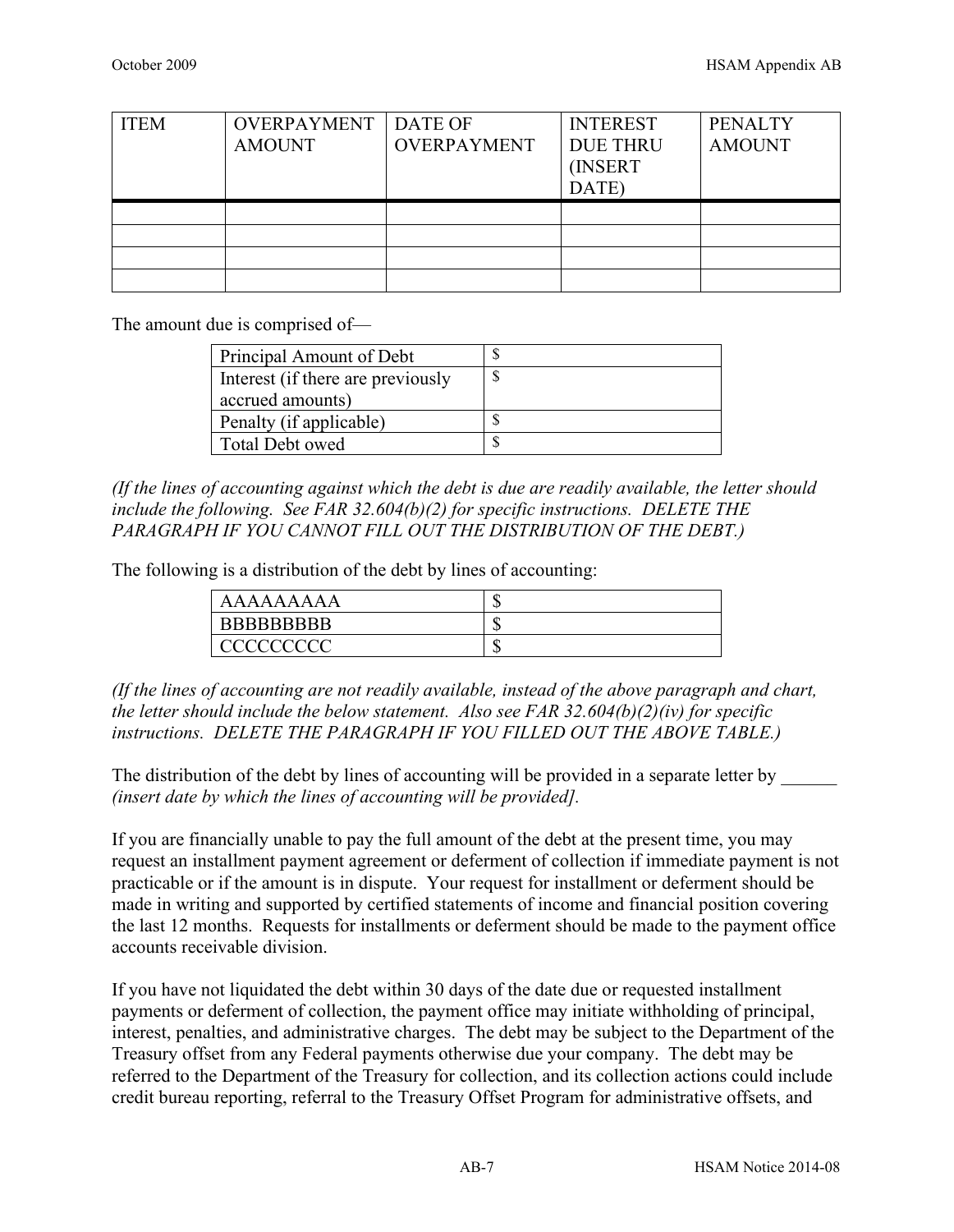| <b>ITEM</b> | <b>OVERPAYMENT</b><br><b>AMOUNT</b> | DATE OF<br><b>OVERPAYMENT</b> | <b>INTEREST</b><br><b>DUE THRU</b><br><b>INSERT</b><br>DATE) | <b>PENALTY</b><br><b>AMOUNT</b> |
|-------------|-------------------------------------|-------------------------------|--------------------------------------------------------------|---------------------------------|
|             |                                     |                               |                                                              |                                 |
|             |                                     |                               |                                                              |                                 |
|             |                                     |                               |                                                              |                                 |
|             |                                     |                               |                                                              |                                 |

The amount due is comprised of—

| Principal Amount of Debt          |  |
|-----------------------------------|--|
| Interest (if there are previously |  |
| accrued amounts)                  |  |
| Penalty (if applicable)           |  |
| Total Debt owed                   |  |

*(If the lines of accounting against which the debt is due are readily available, the letter should include the following. See FAR 32.604(b)(2) for specific instructions. DELETE THE PARAGRAPH IF YOU CANNOT FILL OUT THE DISTRIBUTION OF THE DEBT.)*

The following is a distribution of the debt by lines of accounting:

| AAAAAAAAA         | ιIJ |
|-------------------|-----|
| <b>BBBBBBBBBB</b> | ιIJ |
|                   | ιIJ |

*(If the lines of accounting are not readily available, instead of the above paragraph and chart, the letter should include the below statement. Also see FAR 32.604(b)(2)(iv) for specific instructions. DELETE THE PARAGRAPH IF YOU FILLED OUT THE ABOVE TABLE.)*

The distribution of the debt by lines of accounting will be provided in a separate letter by *(insert date by which the lines of accounting will be provided].*

If you are financially unable to pay the full amount of the debt at the present time, you may request an installment payment agreement or deferment of collection if immediate payment is not practicable or if the amount is in dispute. Your request for installment or deferment should be made in writing and supported by certified statements of income and financial position covering the last 12 months. Requests for installments or deferment should be made to the payment office accounts receivable division.

If you have not liquidated the debt within 30 days of the date due or requested installment payments or deferment of collection, the payment office may initiate withholding of principal, interest, penalties, and administrative charges. The debt may be subject to the Department of the Treasury offset from any Federal payments otherwise due your company. The debt may be referred to the Department of the Treasury for collection, and its collection actions could include credit bureau reporting, referral to the Treasury Offset Program for administrative offsets, and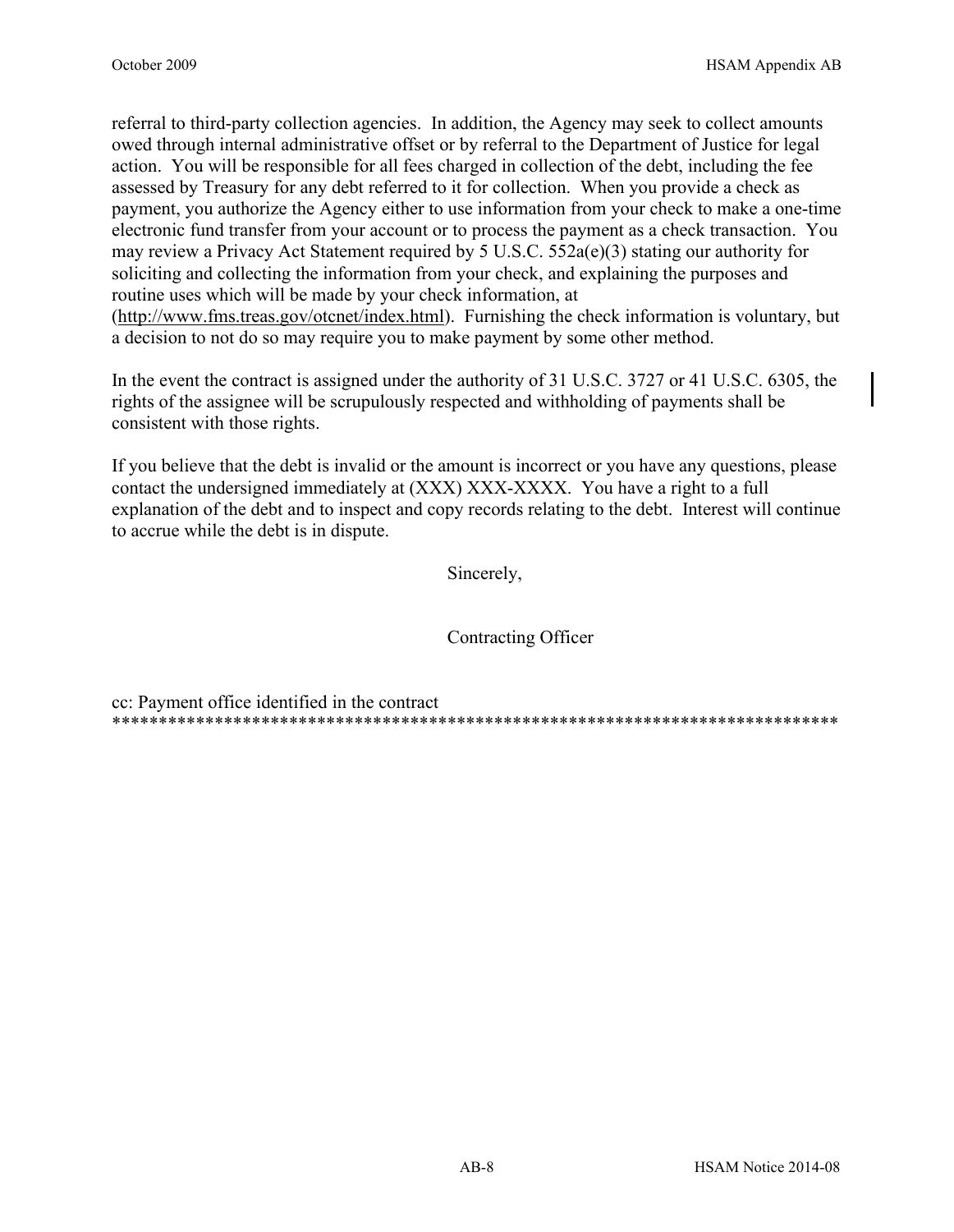referral to third-party collection agencies. In addition, the Agency may seek to collect amounts owed through internal administrative offset or by referral to the Department of Justice for legal action. You will be responsible for all fees charged in collection of the debt, including the fee assessed by Treasury for any debt referred to it for collection. When you provide a check as payment, you authorize the Agency either to use information from your check to make a one-time electronic fund transfer from your account or to process the payment as a check transaction. You may review a Privacy Act Statement required by 5 U.S.C.  $552a(e)(3)$  stating our authority for soliciting and collecting the information from your check, and explaining the purposes and routine uses which will be made by your check information, at (http://www.fms.treas.gov/otcnet/index.html). Furnishing the check information is voluntary, but a decision to not do so may require you to make payment by some other method.

In the event the contract is assigned under the authority of 31 U.S.C. 3727 or 41 U.S.C. 6305, the rights of the assignee will be scrupulously respected and withholding of payments shall be consistent with those rights.

If you believe that the debt is invalid or the amount is incorrect or you have any questions, please contact the undersigned immediately at (XXX) XXX-XXXX. You have a right to a full explanation of the debt and to inspect and copy records relating to the debt. Interest will continue to accrue while the debt is in dispute.

Sincerely,

Contracting Officer

cc: Payment office identified in the contract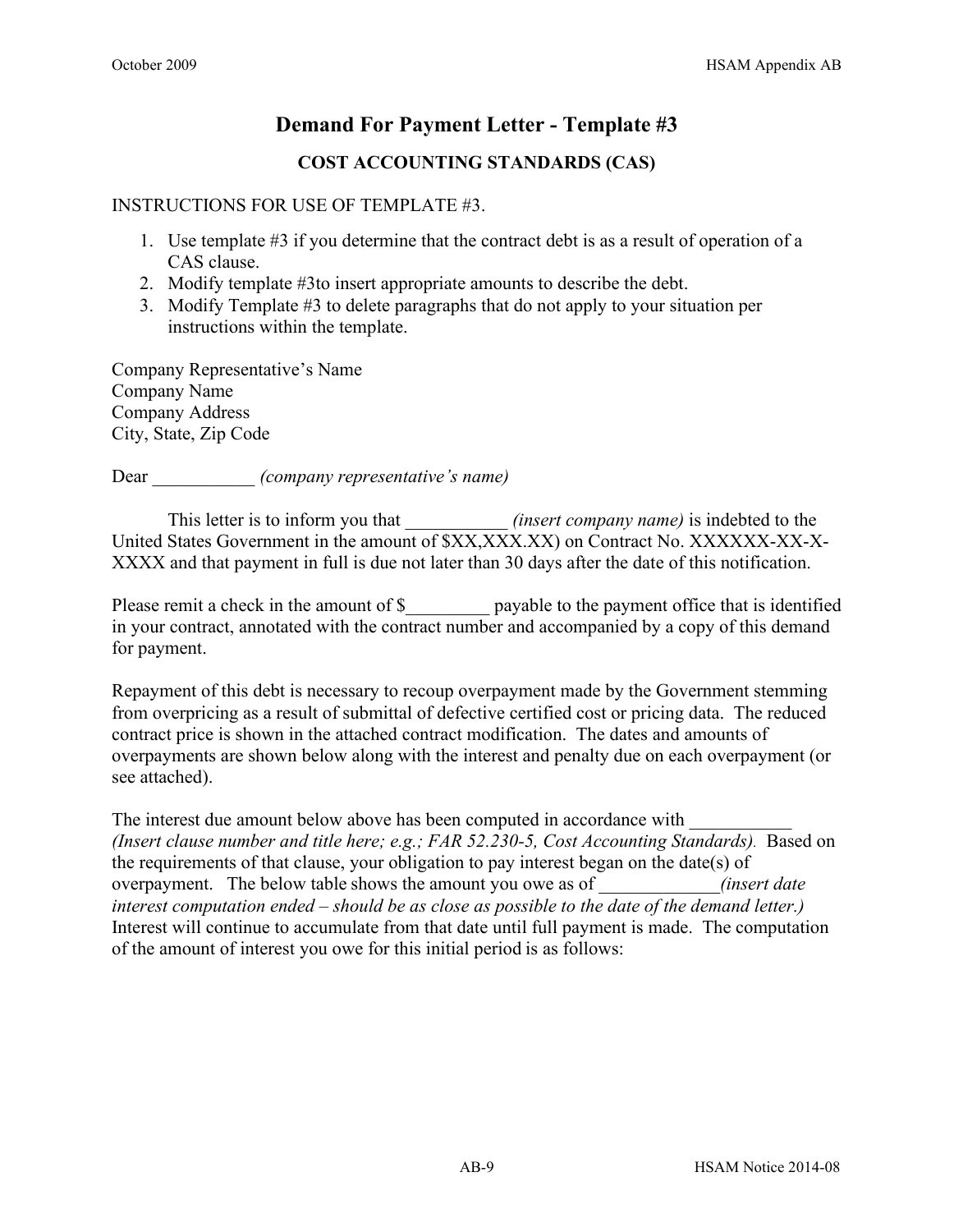# **COST ACCOUNTING STANDARDS (CAS)**

#### INSTRUCTIONS FOR USE OF TEMPLATE #3.

- 1. Use template #3 if you determine that the contract debt is as a result of operation of a CAS clause.
- 2. Modify template #3to insert appropriate amounts to describe the debt.
- 3. Modify Template #3 to delete paragraphs that do not apply to your situation per instructions within the template.

Company Representative's Name Company Name Company Address City, State, Zip Code

Dear \_\_\_\_\_\_\_\_\_\_\_ *(company representative's name)*

This letter is to inform you that *(insert company name)* is indebted to the United States Government in the amount of \$XX,XXX.XX) on Contract No. XXXXXX-XX-X-XXXX and that payment in full is due not later than 30 days after the date of this notification.

Please remit a check in the amount of \$\_\_\_\_\_\_\_\_\_\_ payable to the payment office that is identified in your contract, annotated with the contract number and accompanied by a copy of this demand for payment.

Repayment of this debt is necessary to recoup overpayment made by the Government stemming from overpricing as a result of submittal of defective certified cost or pricing data. The reduced contract price is shown in the attached contract modification. The dates and amounts of overpayments are shown below along with the interest and penalty due on each overpayment (or see attached).

The interest due amount below above has been computed in accordance with *(Insert clause number and title here; e.g.; FAR 52.230-5, Cost Accounting Standards).* Based on the requirements of that clause, your obligation to pay interest began on the date(s) of overpayment. The below table shows the amount you owe as of *<i>all insert date (insert date insert date in serime shows the amount you owe as of interest computation ended – should be as close as possible to the date of the demand letter.)* Interest will continue to accumulate from that date until full payment is made. The computation of the amount of interest you owe for this initial period is as follows: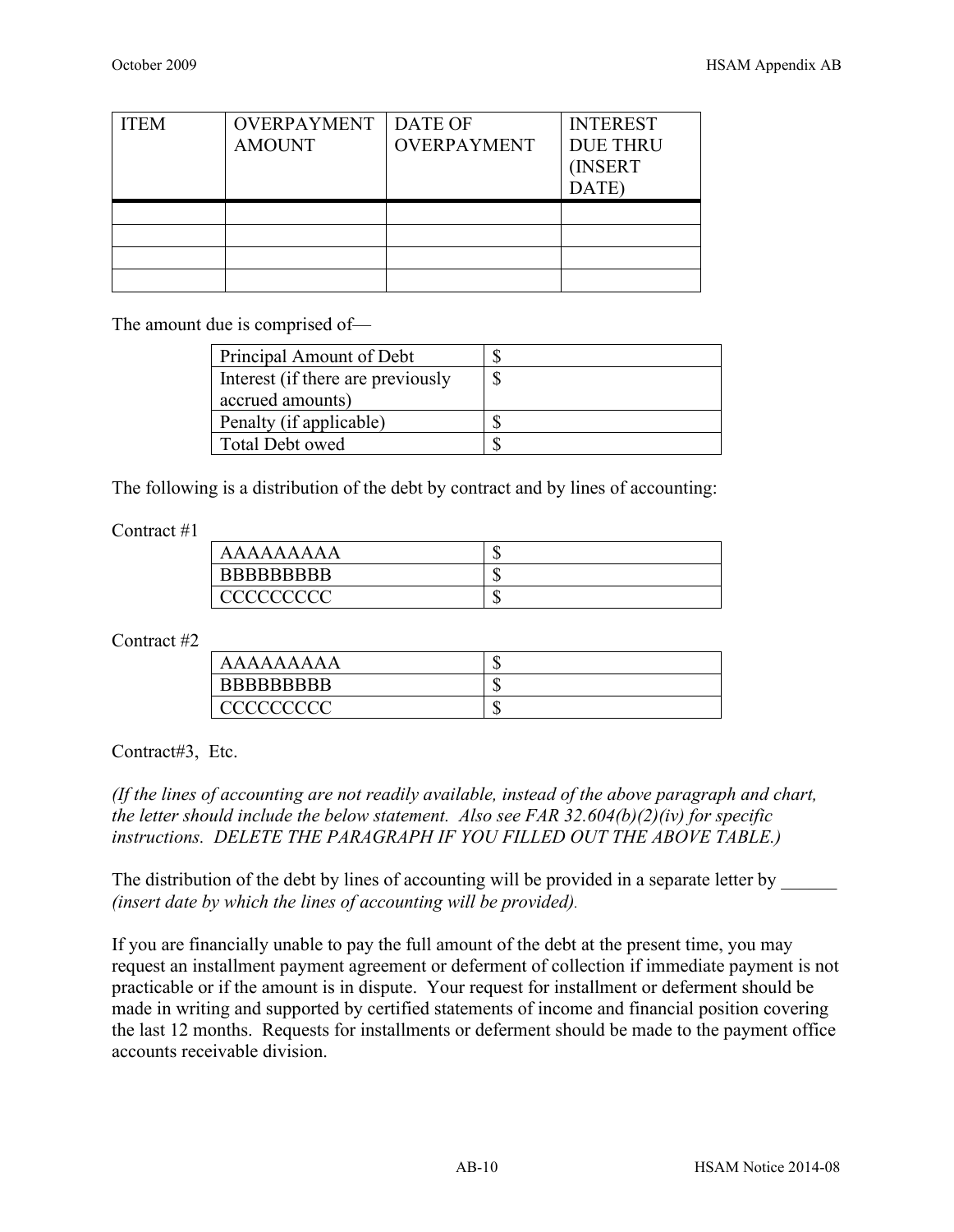| <b>ITEM</b> | OVERPAYMENT<br><b>AMOUNT</b> | DATE OF<br><b>OVERPAYMENT</b> | <b>INTEREST</b><br><b>DUE THRU</b><br>(INSERT<br>DATE) |
|-------------|------------------------------|-------------------------------|--------------------------------------------------------|
|             |                              |                               |                                                        |
|             |                              |                               |                                                        |
|             |                              |                               |                                                        |
|             |                              |                               |                                                        |

The amount due is comprised of—

| Principal Amount of Debt          |  |
|-----------------------------------|--|
| Interest (if there are previously |  |
| accrued amounts)                  |  |
| Penalty (if applicable)           |  |
| Total Debt owed                   |  |

The following is a distribution of the debt by contract and by lines of accounting:

Contract #1

| AAAAAAAAA          | w |
|--------------------|---|
| <b>BBBBBBBBBBB</b> | w |
| <u>acceccecc</u>   | w |

Contract #2

| AAAAAAAAA         | ĸIJ |
|-------------------|-----|
| <b>BBBBBBBBBB</b> | ٨D  |
| CCCCCCCCC         | ٨D  |

Contract#3, Etc.

*(If the lines of accounting are not readily available, instead of the above paragraph and chart, the letter should include the below statement. Also see FAR 32.604(b)(2)(iv) for specific instructions. DELETE THE PARAGRAPH IF YOU FILLED OUT THE ABOVE TABLE.)*

The distribution of the debt by lines of accounting will be provided in a separate letter by *(insert date by which the lines of accounting will be provided).* 

If you are financially unable to pay the full amount of the debt at the present time, you may request an installment payment agreement or deferment of collection if immediate payment is not practicable or if the amount is in dispute. Your request for installment or deferment should be made in writing and supported by certified statements of income and financial position covering the last 12 months. Requests for installments or deferment should be made to the payment office accounts receivable division.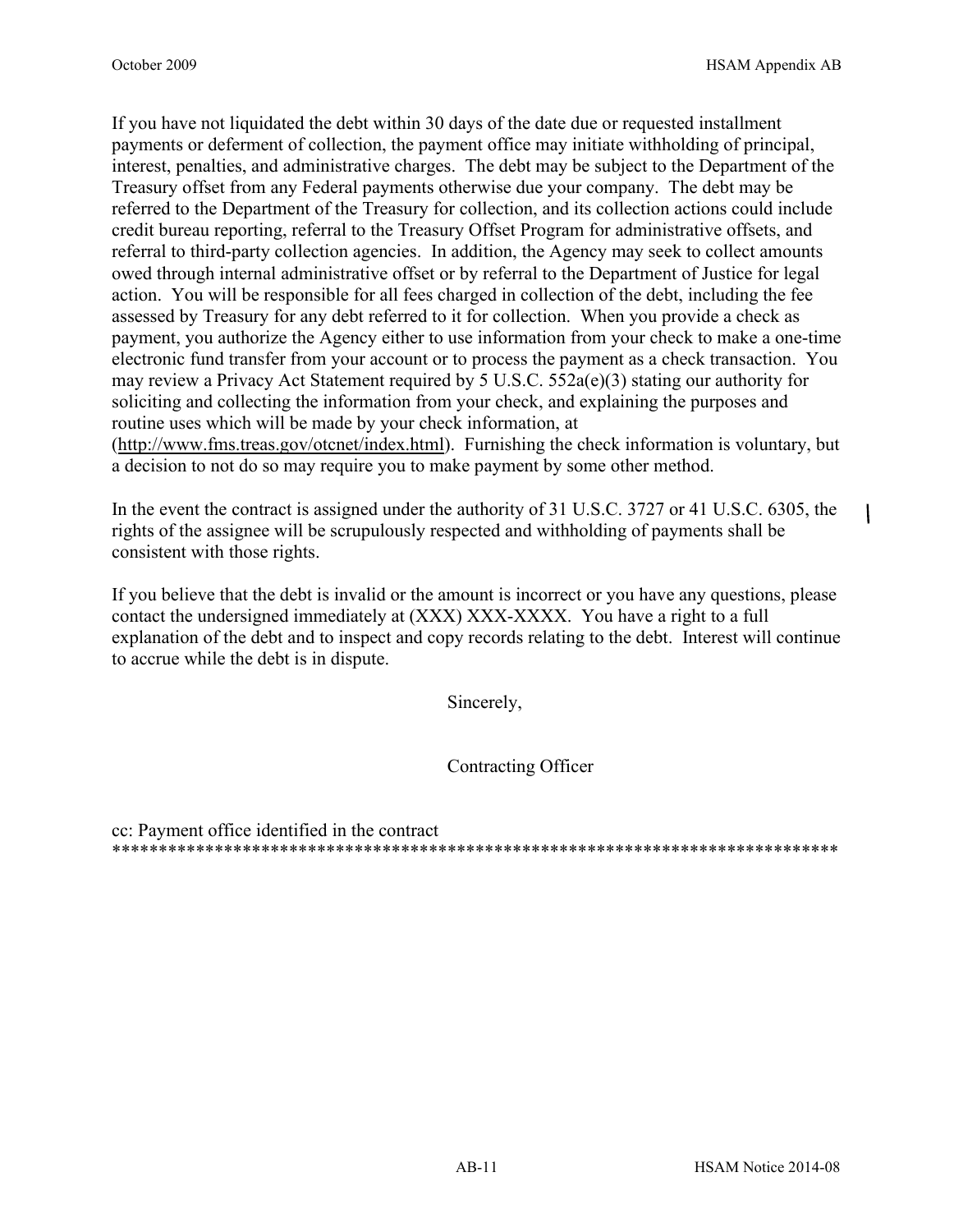$\mathbf{I}$ 

If you have not liquidated the debt within 30 days of the date due or requested installment payments or deferment of collection, the payment office may initiate withholding of principal, interest, penalties, and administrative charges. The debt may be subject to the Department of the Treasury offset from any Federal payments otherwise due your company. The debt may be referred to the Department of the Treasury for collection, and its collection actions could include credit bureau reporting, referral to the Treasury Offset Program for administrative offsets, and referral to third-party collection agencies. In addition, the Agency may seek to collect amounts owed through internal administrative offset or by referral to the Department of Justice for legal action. You will be responsible for all fees charged in collection of the debt, including the fee assessed by Treasury for any debt referred to it for collection. When you provide a check as payment, you authorize the Agency either to use information from your check to make a one-time electronic fund transfer from your account or to process the payment as a check transaction. You may review a Privacy Act Statement required by 5 U.S.C.  $552a(e)(3)$  stating our authority for soliciting and collecting the information from your check, and explaining the purposes and routine uses which will be made by your check information, at

[\(http://www.fms.treas.gov/otcnet/index.html\)](http://www.fms.treas.gov/otcnet/index.html). Furnishing the check information is voluntary, but a decision to not do so may require you to make payment by some other method.

In the event the contract is assigned under the authority of 31 U.S.C. 3727 or 41 U.S.C. 6305, the rights of the assignee will be scrupulously respected and withholding of payments shall be consistent with those rights.

If you believe that the debt is invalid or the amount is incorrect or you have any questions, please contact the undersigned immediately at (XXX) XXX-XXXX. You have a right to a full explanation of the debt and to inspect and copy records relating to the debt. Interest will continue to accrue while the debt is in dispute.

Sincerely,

Contracting Officer

cc: Payment office identified in the contract \*\*\*\*\*\*\*\*\*\*\*\*\*\*\*\*\*\*\*\*\*\*\*\*\*\*\*\*\*\*\*\*\*\*\*\*\*\*\*\*\*\*\*\*\*\*\*\*\*\*\*\*\*\*\*\*\*\*\*\*\*\*\*\*\*\*\*\*\*\*\*\*\*\*\*\*\*\*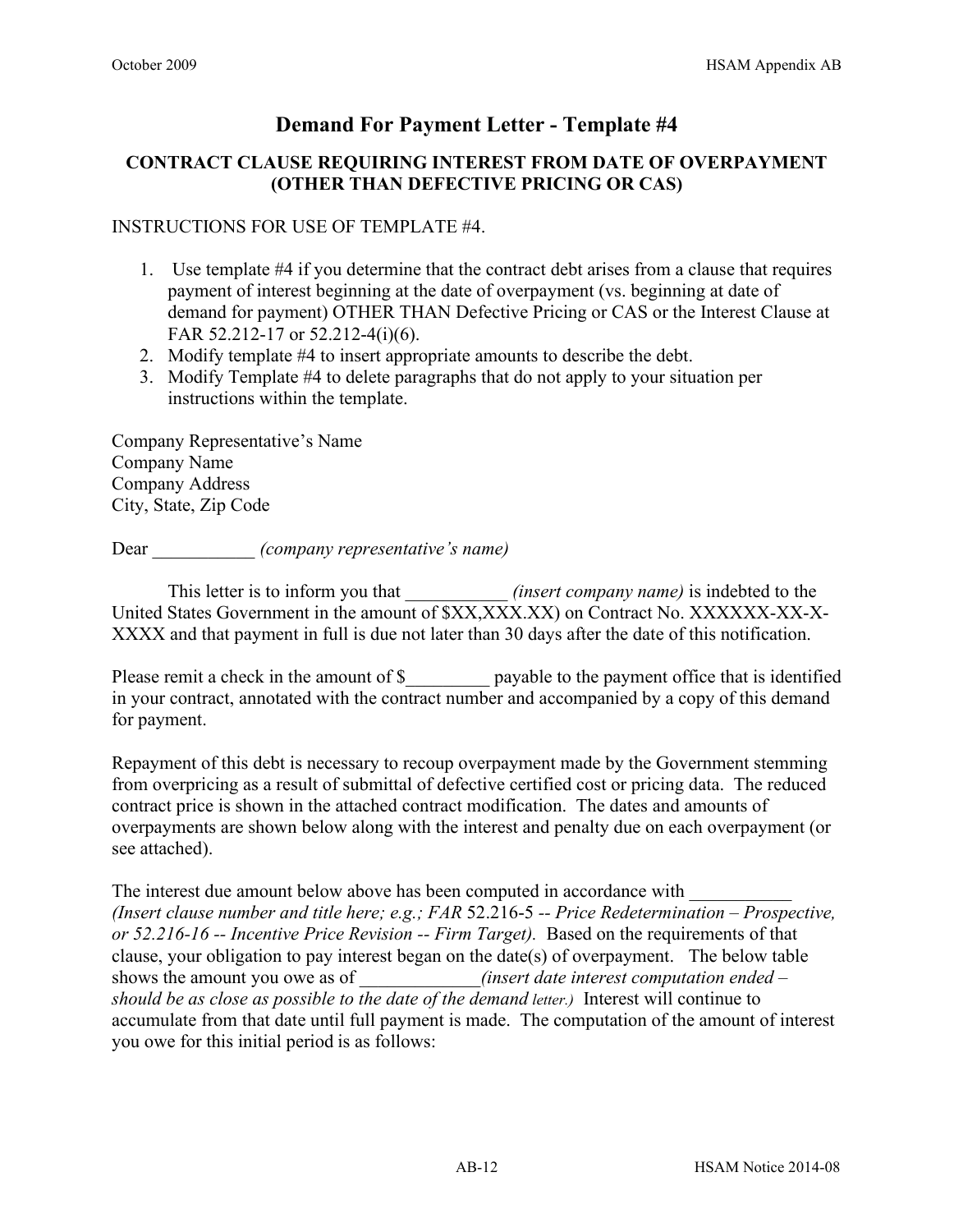### **CONTRACT CLAUSE REQUIRING INTEREST FROM DATE OF OVERPAYMENT (OTHER THAN DEFECTIVE PRICING OR CAS)**

### INSTRUCTIONS FOR USE OF TEMPLATE #4.

- 1. Use template #4 if you determine that the contract debt arises from a clause that requires payment of interest beginning at the date of overpayment (vs. beginning at date of demand for payment) OTHER THAN Defective Pricing or CAS or the Interest Clause at FAR 52.212-17 or 52.212-4(i)(6).
- 2. Modify template #4 to insert appropriate amounts to describe the debt.
- 3. Modify Template #4 to delete paragraphs that do not apply to your situation per instructions within the template.

Company Representative's Name Company Name Company Address City, State, Zip Code

Dear \_\_\_\_\_\_\_\_\_\_\_ *(company representative's name)*

This letter is to inform you that *(insert company name)* is indebted to the United States Government in the amount of \$XX,XXX.XX) on Contract No. XXXXXX-XX-X-XXXX and that payment in full is due not later than 30 days after the date of this notification.

Please remit a check in the amount of \$ payable to the payment office that is identified in your contract, annotated with the contract number and accompanied by a copy of this demand for payment.

Repayment of this debt is necessary to recoup overpayment made by the Government stemming from overpricing as a result of submittal of defective certified cost or pricing data. The reduced contract price is shown in the attached contract modification. The dates and amounts of overpayments are shown below along with the interest and penalty due on each overpayment (or see attached).

The interest due amount below above has been computed in accordance with *(Insert clause number and title here; e.g.; FAR* 52.216-5 *-- Price Redetermination – Prospective, or 52.216-16 -- Incentive Price Revision -- Firm Target).* Based on the requirements of that clause, your obligation to pay interest began on the date(s) of overpayment. The below table shows the amount you owe as of *<i>all insert date interest computation ended – all insert date interest computation ended – should be as close as possible to the date of the demand letter.)* Interest will continue to accumulate from that date until full payment is made. The computation of the amount of interest you owe for this initial period is as follows: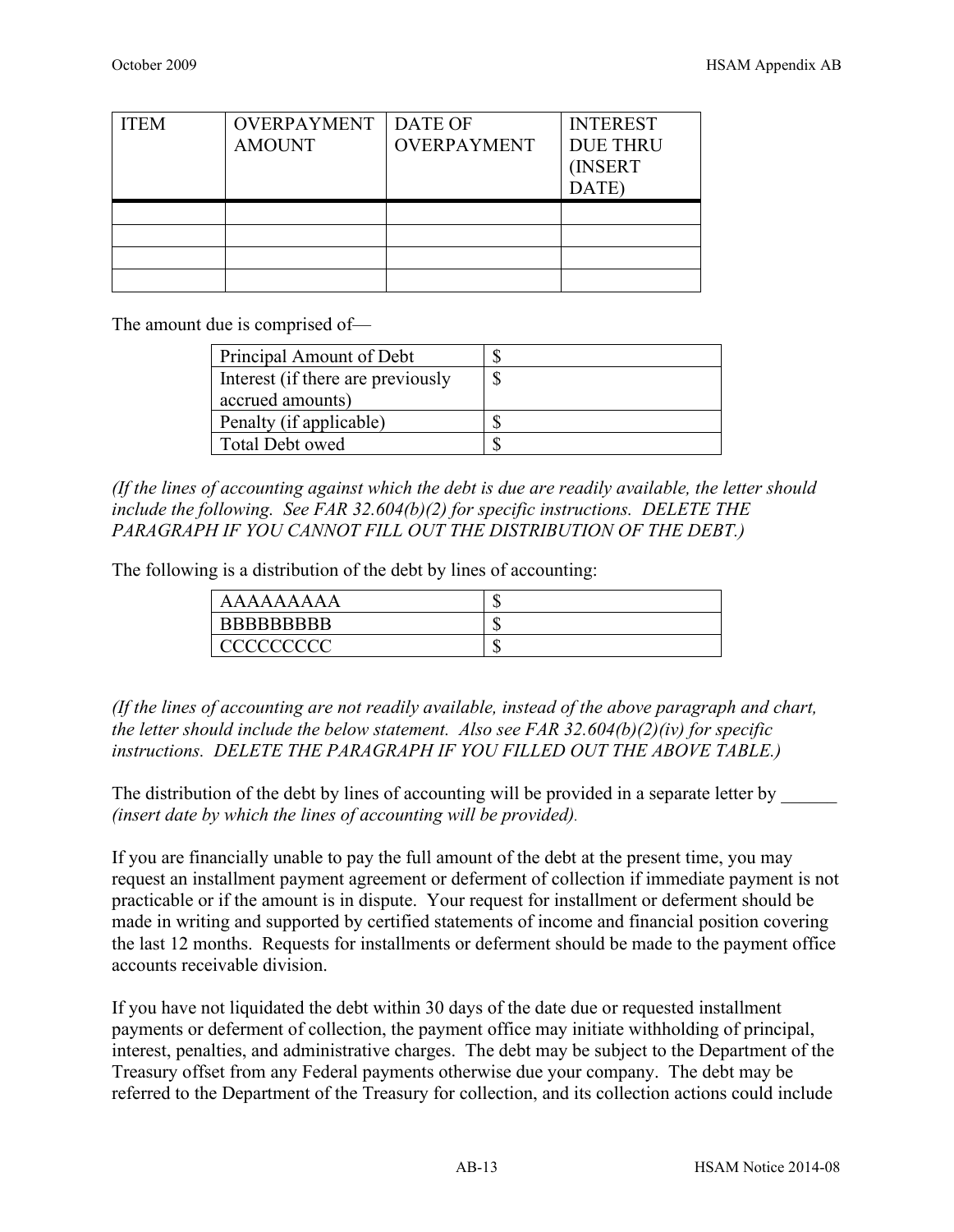| <b>ITEM</b> | <b>OVERPAYMENT</b><br><b>AMOUNT</b> | <b>DATE OF</b><br><b>OVERPAYMENT</b> | <b>INTEREST</b><br><b>DUE THRU</b><br>(INSERT<br>DATE) |
|-------------|-------------------------------------|--------------------------------------|--------------------------------------------------------|
|             |                                     |                                      |                                                        |
|             |                                     |                                      |                                                        |
|             |                                     |                                      |                                                        |
|             |                                     |                                      |                                                        |

The amount due is comprised of—

| Principal Amount of Debt          |  |
|-----------------------------------|--|
| Interest (if there are previously |  |
| accrued amounts)                  |  |
| Penalty (if applicable)           |  |
| Total Debt owed                   |  |

*(If the lines of accounting against which the debt is due are readily available, the letter should include the following. See FAR 32.604(b)(2) for specific instructions. DELETE THE PARAGRAPH IF YOU CANNOT FILL OUT THE DISTRIBUTION OF THE DEBT.)*

The following is a distribution of the debt by lines of accounting:

| AAAAAAAAA          | ιIJ |
|--------------------|-----|
| <b>BBBBBBBBBBB</b> | ιD  |
| CCCCCCCCC          | кD  |

*(If the lines of accounting are not readily available, instead of the above paragraph and chart, the letter should include the below statement. Also see FAR 32.604(b)(2)(iv) for specific instructions. DELETE THE PARAGRAPH IF YOU FILLED OUT THE ABOVE TABLE.)*

The distribution of the debt by lines of accounting will be provided in a separate letter by *(insert date by which the lines of accounting will be provided).* 

If you are financially unable to pay the full amount of the debt at the present time, you may request an installment payment agreement or deferment of collection if immediate payment is not practicable or if the amount is in dispute. Your request for installment or deferment should be made in writing and supported by certified statements of income and financial position covering the last 12 months. Requests for installments or deferment should be made to the payment office accounts receivable division.

If you have not liquidated the debt within 30 days of the date due or requested installment payments or deferment of collection, the payment office may initiate withholding of principal, interest, penalties, and administrative charges. The debt may be subject to the Department of the Treasury offset from any Federal payments otherwise due your company. The debt may be referred to the Department of the Treasury for collection, and its collection actions could include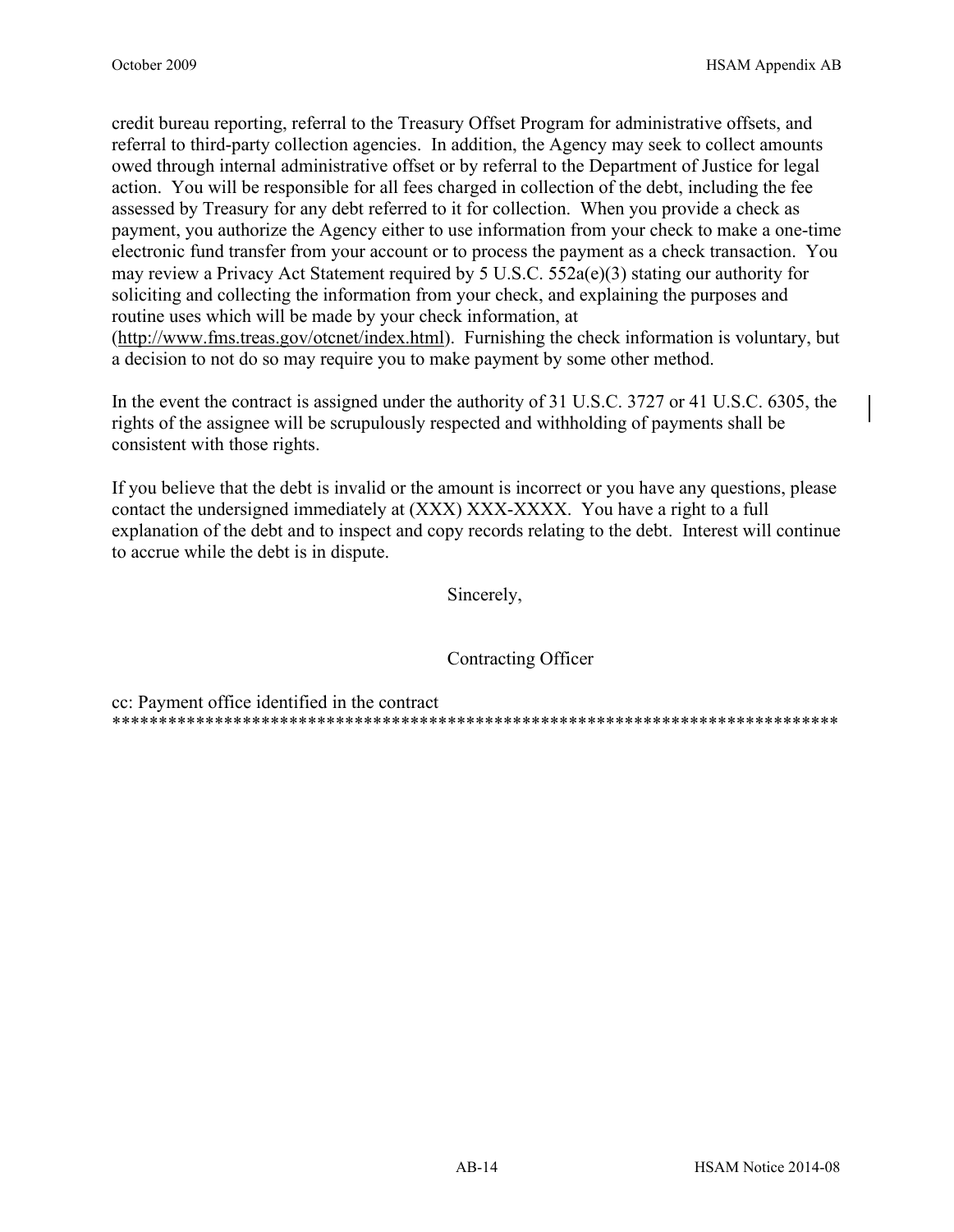credit bureau reporting, referral to the Treasury Offset Program for administrative offsets, and referral to third-party collection agencies. In addition, the Agency may seek to collect amounts owed through internal administrative offset or by referral to the Department of Justice for legal action. You will be responsible for all fees charged in collection of the debt, including the fee assessed by Treasury for any debt referred to it for collection. When you provide a check as payment, you authorize the Agency either to use information from your check to make a one-time electronic fund transfer from your account or to process the payment as a check transaction. You may review a Privacy Act Statement required by 5 U.S.C.  $552a(e)(3)$  stating our authority for soliciting and collecting the information from your check, and explaining the purposes and routine uses which will be made by your check information, at (http://www.fms.treas.gov/otcnet/index.html). Furnishing the check information is voluntary, but a decision to not do so may require you to make payment by some other method.

In the event the contract is assigned under the authority of 31 U.S.C. 3727 or 41 U.S.C. 6305, the rights of the assignee will be scrupulously respected and withholding of payments shall be consistent with those rights.

If you believe that the debt is invalid or the amount is incorrect or you have any questions, please contact the undersigned immediately at (XXX) XXX-XXXX. You have a right to a full explanation of the debt and to inspect and copy records relating to the debt. Interest will continue to accrue while the debt is in dispute.

Sincerely,

Contracting Officer

cc: Payment office identified in the contract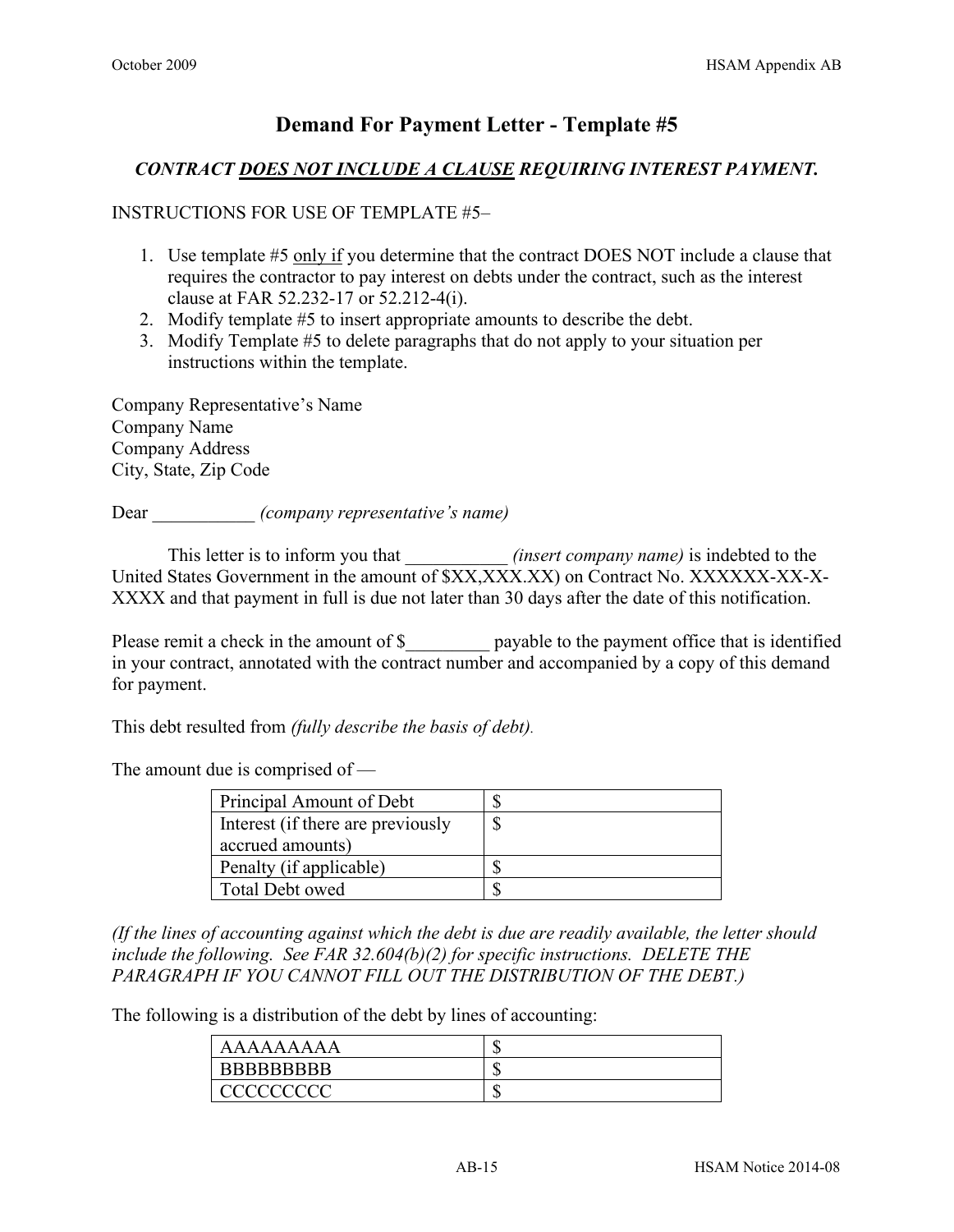### *CONTRACT DOES NOT INCLUDE A CLAUSE REQUIRING INTEREST PAYMENT.*

### INSTRUCTIONS FOR USE OF TEMPLATE #5–

- 1. Use template #5 only if you determine that the contract DOES NOT include a clause that requires the contractor to pay interest on debts under the contract, such as the interest clause at FAR 52.232-17 or 52.212-4(i).
- 2. Modify template #5 to insert appropriate amounts to describe the debt.
- 3. Modify Template #5 to delete paragraphs that do not apply to your situation per instructions within the template.

Company Representative's Name Company Name Company Address City, State, Zip Code

Dear \_\_\_\_\_\_\_\_\_\_\_ *(company representative's name)*

This letter is to inform you that *(insert company name)* is indebted to the United States Government in the amount of \$XX,XXX.XX) on Contract No. XXXXXX-XX-X-XXXX and that payment in full is due not later than 30 days after the date of this notification.

Please remit a check in the amount of \$ payable to the payment office that is identified in your contract, annotated with the contract number and accompanied by a copy of this demand for payment.

This debt resulted from *(fully describe the basis of debt).*

The amount due is comprised of —

| Principal Amount of Debt          |  |
|-----------------------------------|--|
| Interest (if there are previously |  |
| accrued amounts)                  |  |
| Penalty (if applicable)           |  |
| Total Debt owed                   |  |

*(If the lines of accounting against which the debt is due are readily available, the letter should include the following. See FAR 32.604(b)(2) for specific instructions. DELETE THE PARAGRAPH IF YOU CANNOT FILL OUT THE DISTRIBUTION OF THE DEBT.)*

The following is a distribution of the debt by lines of accounting:

| AAAAAAAAA          | ۱IJ |
|--------------------|-----|
| <b>BBBBBBBBBBB</b> | ᄓ   |
| <u>'AAAAAAAA</u>   | ᄓ   |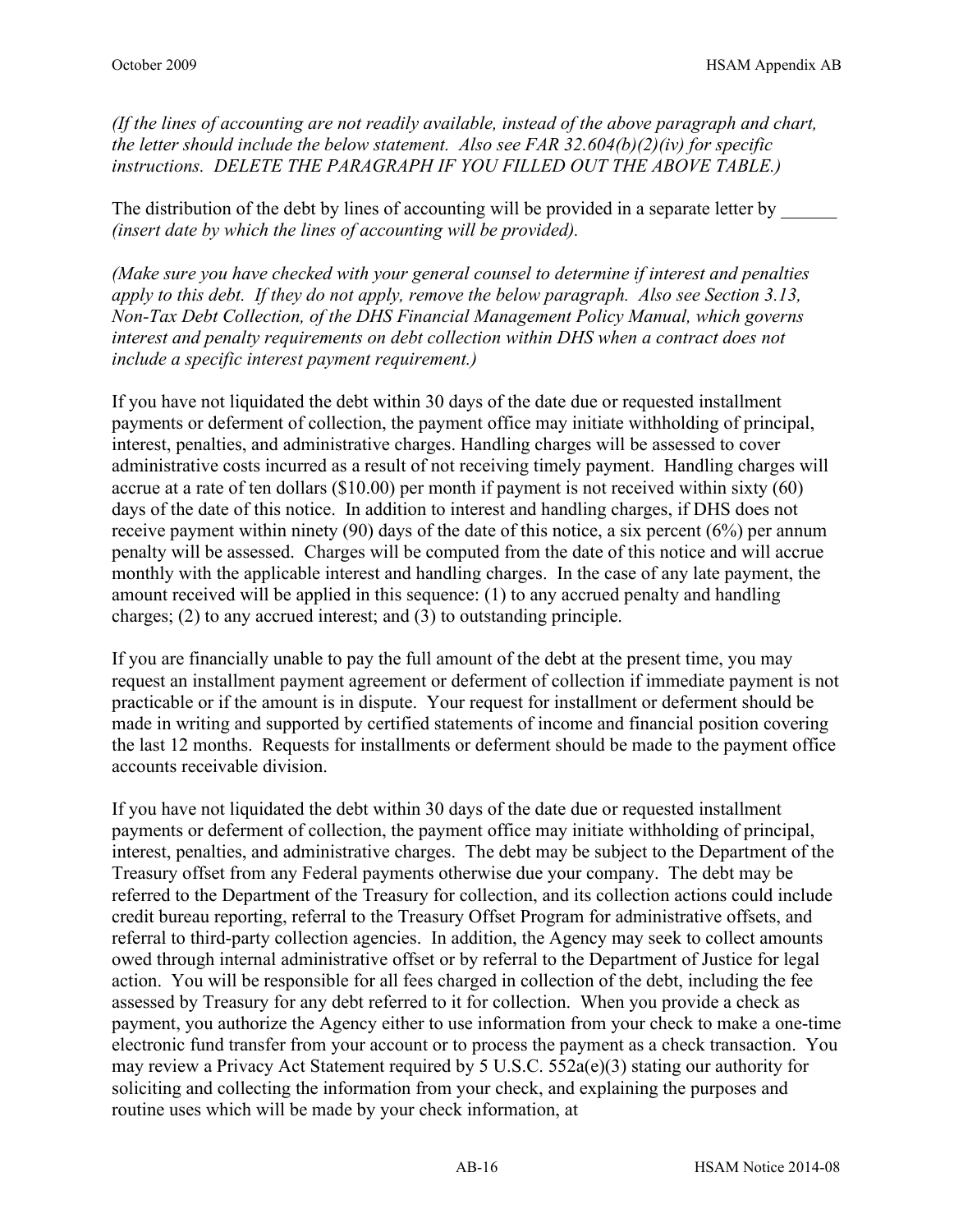*(If the lines of accounting are not readily available, instead of the above paragraph and chart, the letter should include the below statement. Also see FAR 32.604(b)(2)(iv) for specific instructions. DELETE THE PARAGRAPH IF YOU FILLED OUT THE ABOVE TABLE.)*

The distribution of the debt by lines of accounting will be provided in a separate letter by *(insert date by which the lines of accounting will be provided).*

*(Make sure you have checked with your general counsel to determine if interest and penalties apply to this debt. If they do not apply, remove the below paragraph. Also see Section 3.13, Non-Tax Debt Collection, of the DHS Financial Management Policy Manual, which governs interest and penalty requirements on debt collection within DHS when a contract does not include a specific interest payment requirement.)* 

If you have not liquidated the debt within 30 days of the date due or requested installment payments or deferment of collection, the payment office may initiate withholding of principal, interest, penalties, and administrative charges. Handling charges will be assessed to cover administrative costs incurred as a result of not receiving timely payment. Handling charges will accrue at a rate of ten dollars (\$10.00) per month if payment is not received within sixty (60) days of the date of this notice. In addition to interest and handling charges, if DHS does not receive payment within ninety (90) days of the date of this notice, a six percent (6%) per annum penalty will be assessed. Charges will be computed from the date of this notice and will accrue monthly with the applicable interest and handling charges. In the case of any late payment, the amount received will be applied in this sequence: (1) to any accrued penalty and handling charges; (2) to any accrued interest; and (3) to outstanding principle.

If you are financially unable to pay the full amount of the debt at the present time, you may request an installment payment agreement or deferment of collection if immediate payment is not practicable or if the amount is in dispute. Your request for installment or deferment should be made in writing and supported by certified statements of income and financial position covering the last 12 months. Requests for installments or deferment should be made to the payment office accounts receivable division.

If you have not liquidated the debt within 30 days of the date due or requested installment payments or deferment of collection, the payment office may initiate withholding of principal, interest, penalties, and administrative charges. The debt may be subject to the Department of the Treasury offset from any Federal payments otherwise due your company. The debt may be referred to the Department of the Treasury for collection, and its collection actions could include credit bureau reporting, referral to the Treasury Offset Program for administrative offsets, and referral to third-party collection agencies. In addition, the Agency may seek to collect amounts owed through internal administrative offset or by referral to the Department of Justice for legal action. You will be responsible for all fees charged in collection of the debt, including the fee assessed by Treasury for any debt referred to it for collection. When you provide a check as payment, you authorize the Agency either to use information from your check to make a one-time electronic fund transfer from your account or to process the payment as a check transaction. You may review a Privacy Act Statement required by 5 U.S.C. 552a(e)(3) stating our authority for soliciting and collecting the information from your check, and explaining the purposes and routine uses which will be made by your check information, at